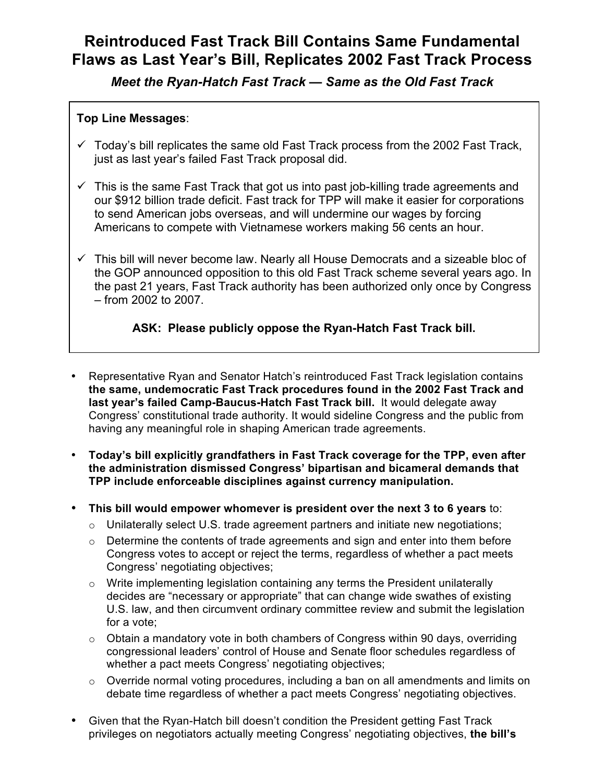## **Reintroduced Fast Track Bill Contains Same Fundamental Flaws as Last Year's Bill, Replicates 2002 Fast Track Process**

*Meet the Ryan-Hatch Fast Track — Same as the Old Fast Track*

## **Top Line Messages**:

- $\checkmark$  Today's bill replicates the same old Fast Track process from the 2002 Fast Track, just as last year's failed Fast Track proposal did.
- $\checkmark$  This is the same Fast Track that got us into past job-killing trade agreements and our \$912 billion trade deficit. Fast track for TPP will make it easier for corporations to send American jobs overseas, and will undermine our wages by forcing Americans to compete with Vietnamese workers making 56 cents an hour.
- $\checkmark$  This bill will never become law. Nearly all House Democrats and a sizeable bloc of the GOP announced opposition to this old Fast Track scheme several years ago. In the past 21 years, Fast Track authority has been authorized only once by Congress – from 2002 to 2007.

## **ASK: Please publicly oppose the Ryan-Hatch Fast Track bill.**

- Representative Ryan and Senator Hatch's reintroduced Fast Track legislation contains **the same, undemocratic Fast Track procedures found in the 2002 Fast Track and last year's failed Camp-Baucus-Hatch Fast Track bill.** It would delegate away Congress' constitutional trade authority. It would sideline Congress and the public from having any meaningful role in shaping American trade agreements.
- **Today's bill explicitly grandfathers in Fast Track coverage for the TPP, even after the administration dismissed Congress' bipartisan and bicameral demands that TPP include enforceable disciplines against currency manipulation.**
- **This bill would empower whomever is president over the next 3 to 6 years** to:
	- $\circ$  Unilaterally select U.S. trade agreement partners and initiate new negotiations;
	- $\circ$  Determine the contents of trade agreements and sign and enter into them before Congress votes to accept or reject the terms, regardless of whether a pact meets Congress' negotiating objectives;
	- o Write implementing legislation containing any terms the President unilaterally decides are "necessary or appropriate" that can change wide swathes of existing U.S. law, and then circumvent ordinary committee review and submit the legislation for a vote;
	- $\circ$  Obtain a mandatory vote in both chambers of Congress within 90 days, overriding congressional leaders' control of House and Senate floor schedules regardless of whether a pact meets Congress' negotiating objectives;
	- o Override normal voting procedures, including a ban on all amendments and limits on debate time regardless of whether a pact meets Congress' negotiating objectives.
- Given that the Ryan-Hatch bill doesn't condition the President getting Fast Track privileges on negotiators actually meeting Congress' negotiating objectives, **the bill's**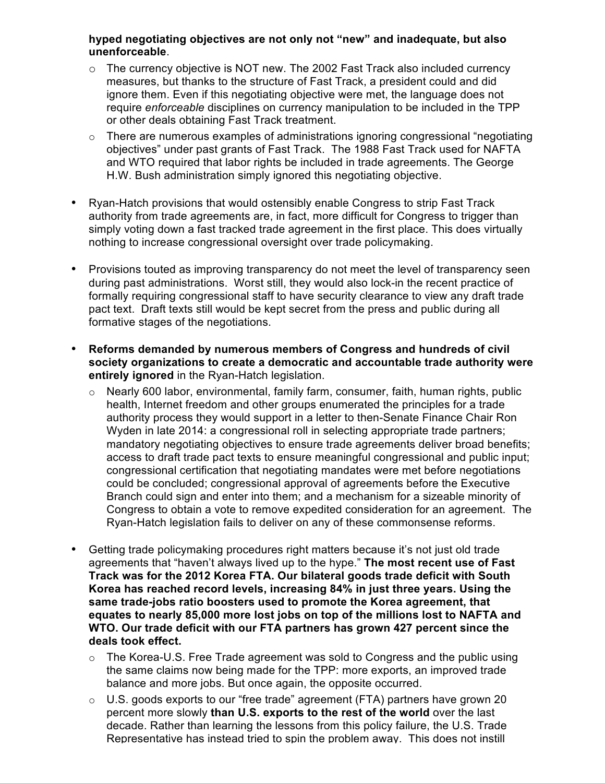## **hyped negotiating objectives are not only not "new" and inadequate, but also unenforceable**.

- o The currency objective is NOT new. The 2002 Fast Track also included currency measures, but thanks to the structure of Fast Track, a president could and did ignore them. Even if this negotiating objective were met, the language does not require *enforceable* disciplines on currency manipulation to be included in the TPP or other deals obtaining Fast Track treatment.
- $\circ$  There are numerous examples of administrations ignoring congressional "negotiating" objectives" under past grants of Fast Track. The 1988 Fast Track used for NAFTA and WTO required that labor rights be included in trade agreements. The George H.W. Bush administration simply ignored this negotiating objective.
- Ryan-Hatch provisions that would ostensibly enable Congress to strip Fast Track authority from trade agreements are, in fact, more difficult for Congress to trigger than simply voting down a fast tracked trade agreement in the first place. This does virtually nothing to increase congressional oversight over trade policymaking.
- Provisions touted as improving transparency do not meet the level of transparency seen during past administrations. Worst still, they would also lock-in the recent practice of formally requiring congressional staff to have security clearance to view any draft trade pact text. Draft texts still would be kept secret from the press and public during all formative stages of the negotiations.
- **Reforms demanded by numerous members of Congress and hundreds of civil society organizations to create a democratic and accountable trade authority were entirely ignored** in the Ryan-Hatch legislation.
	- o Nearly 600 labor, environmental, family farm, consumer, faith, human rights, public health, Internet freedom and other groups enumerated the principles for a trade authority process they would support in a letter to then-Senate Finance Chair Ron Wyden in late 2014: a congressional roll in selecting appropriate trade partners; mandatory negotiating objectives to ensure trade agreements deliver broad benefits; access to draft trade pact texts to ensure meaningful congressional and public input; congressional certification that negotiating mandates were met before negotiations could be concluded; congressional approval of agreements before the Executive Branch could sign and enter into them; and a mechanism for a sizeable minority of Congress to obtain a vote to remove expedited consideration for an agreement. The Ryan-Hatch legislation fails to deliver on any of these commonsense reforms.
- Getting trade policymaking procedures right matters because it's not just old trade agreements that "haven't always lived up to the hype." **The most recent use of Fast Track was for the 2012 Korea FTA. Our bilateral goods trade deficit with South Korea has reached record levels, increasing 84% in just three years. Using the same trade-jobs ratio boosters used to promote the Korea agreement, that equates to nearly 85,000 more lost jobs on top of the millions lost to NAFTA and WTO. Our trade deficit with our FTA partners has grown 427 percent since the**  deals took effect.
	- $\circ$  The Korea-U.S. Free Trade agreement was sold to Congress and the public using the same claims now being made for the TPP: more exports, an improved trade balance and more jobs. But once again, the opposite occurred.
	- $\circ$  U.S. goods exports to our "free trade" agreement (FTA) partners have grown 20 percent more slowly **than U.S. exports to the rest of the world** over the last decade. Rather than learning the lessons from this policy failure, the U.S. Trade Representative has instead tried to spin the problem away. This does not instill